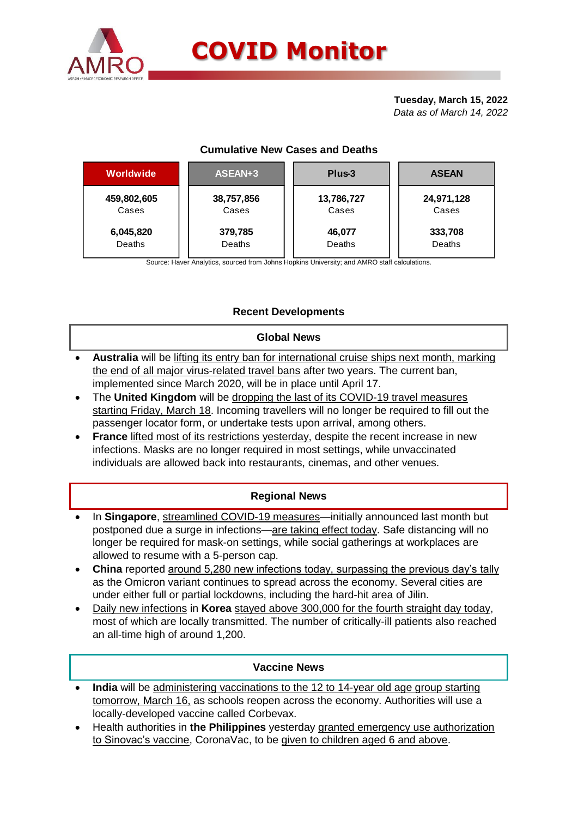

#### **Tuesday, March 15, 2022** *Data as of March 14, 2022*

## **Cumulative New Cases and Deaths**

| <b>Worldwide</b> | ASEAN+3    | Plus-3     | <b>ASEAN</b> |  |  |
|------------------|------------|------------|--------------|--|--|
| 459,802,605      | 38,757,856 | 13,786,727 | 24,971,128   |  |  |
| Cases            | Cases      | Cases      | Cases        |  |  |
| 6,045,820        | 379,785    | 46,077     | 333,708      |  |  |
| Deaths           | Deaths     | Deaths     | Deaths       |  |  |

Source: Haver Analytics, sourced from Johns Hopkins University; and AMRO staff calculations.

## **Recent Developments**

#### **Global News**

- **Australia** will be lifting its entry ban for international cruise ships next month, marking the end of all major virus-related travel bans after two years. The current ban, implemented since March 2020, will be in place until April 17.
- The **United Kingdom** will be dropping the last of its COVID-19 travel measures starting Friday, March 18. Incoming travellers will no longer be required to fill out the passenger locator form, or undertake tests upon arrival, among others.
- **France** lifted most of its restrictions yesterday, despite the recent increase in new infections. Masks are no longer required in most settings, while unvaccinated individuals are allowed back into restaurants, cinemas, and other venues.

### **Regional News**

- In **Singapore**, streamlined COVID-19 measures—initially announced last month but postponed due a surge in infections—are taking effect today. Safe distancing will no longer be required for mask-on settings, while social gatherings at workplaces are allowed to resume with a 5-person cap.
- **China** reported around 5,280 new infections today, surpassing the previous day's tally as the Omicron variant continues to spread across the economy. Several cities are under either full or partial lockdowns, including the hard-hit area of Jilin.
- Daily new infections in **Korea** stayed above 300,000 for the fourth straight day today, most of which are locally transmitted. The number of critically-ill patients also reached an all-time high of around 1,200.

### **Vaccine News**

- **India** will be administering vaccinations to the 12 to 14-year old age group starting tomorrow, March 16, as schools reopen across the economy. Authorities will use a locally-developed vaccine called Corbevax.
- Health authorities in **the Philippines** yesterday granted emergency use authorization to Sinovac's vaccine, CoronaVac, to be given to children aged 6 and above.